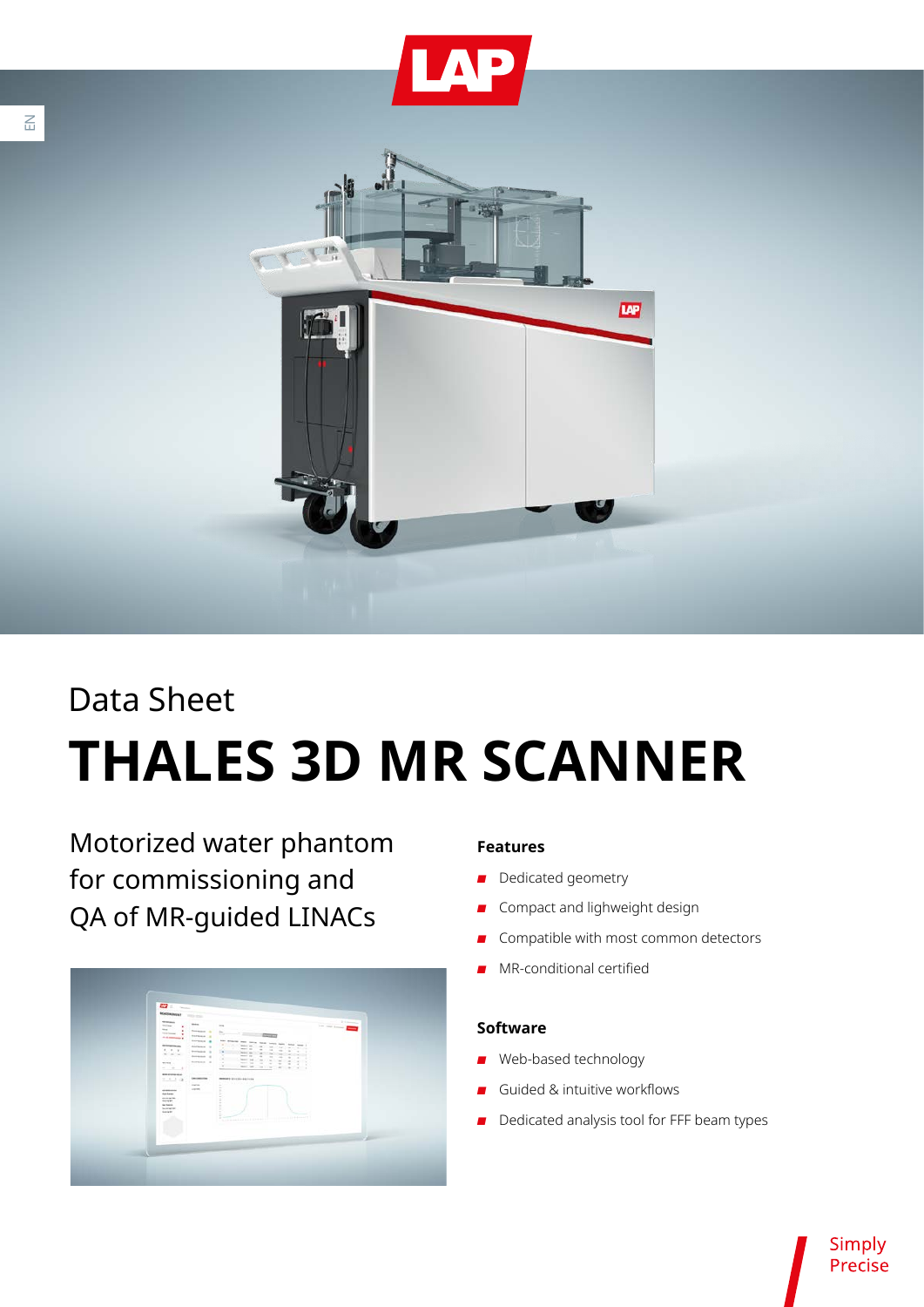

# Data Sheet **THALES 3D MR SCANNER**

Motorized water phantom for commissioning and QA of MR-guided LINACs



### **Features**

- Dedicated geometry
- Compact and lighweight design
- Compatible with most common detectors
- MR-conditional certified

#### **Software**

- Web-based technology
- Guided & intuitive workflows
- B Dedicated analysis tool for FFF beam types

Simply Precise